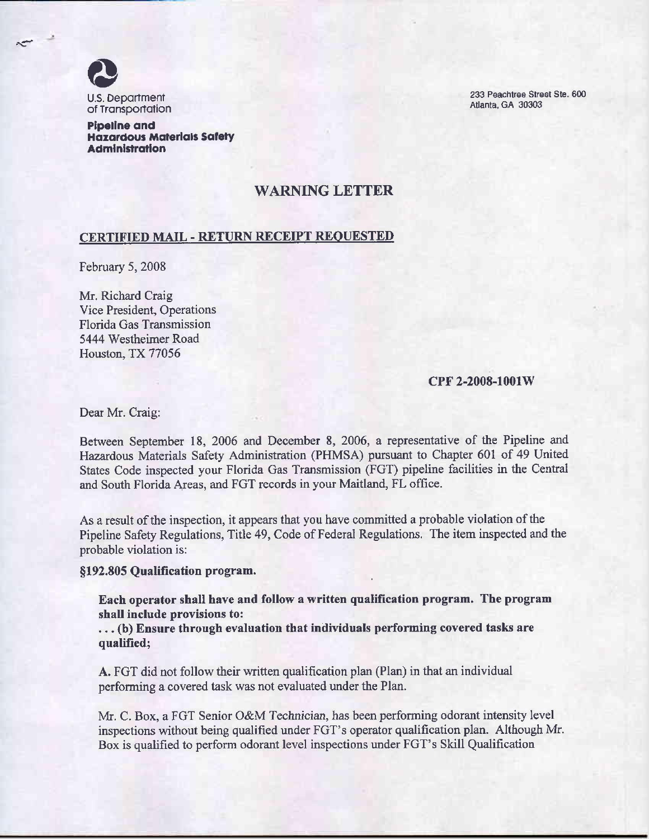

233 Peachtree Street Ste. 600 Atlanta, GA 30303

Pipeline and Haxardous Materials Safety Administration

## WARNING LETTER

## CERTIFIED MAIL - RETURN RECEIPT REQUESTED

February 5, 2008

Mr. Richard Craig Vice President, Operations Florida Gas Transmission 5444 Westheimer Road Houston, TX 77056

## CPF 2-2008-1001W

Dear Mr. Craig:

Between September 18, 2006 and December 8, 2006, a representative of the Pipeline and Hazardous Materials Safety Administration (PHMSA) pursuant to Chapter 601 of 49 United States Code inspected your Florida Gas Transmission (FGT) pipeline facilities in the Central and South Florida Areas, and FGT records in your Maitland, FL office.

As a result of the inspection, it appears that you have committed a probable violation of the Pipeline Safety Regulations, Title 49, Code of Federal Regulations. The item inspected and the probable violation is:

§192.805 Qualification program.

Each operator shall have and follow a written qualification program. The program shall include provisions to:

. . . (b) Ensure through evaluation that individuals performing covered tasks are qualified;

A. FGT did not follow their written qualification plan (Plan) in that an individual performing a covered task was not evaluated under the Plan.

Mr. C. Box, a FGT Senior O&M Technician, has been performing odorant intensity level inspections without being qualified under FGT's operator qualification plan. Although Mr. Box is qualified to perform odorant level inspections under FGT's Skill Qualification